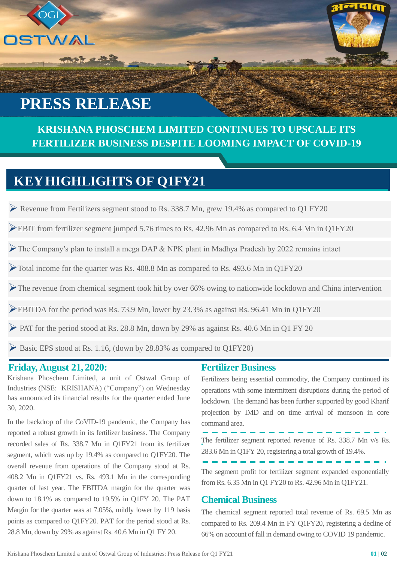

## **KRISHANA PHOSCHEM LIMITED CONTINUES TO UPSCALE ITS FERTILIZER BUSINESS DESPITE LOOMING IMPACT OF COVID-19**

## **KEYHIGHLIGHTS OF Q1FY21**

Revenue from Fertilizers segment stood to Rs. 338.7 Mn, grew 19.4% as compared to Q1 FY20

EBIT from fertilizer segment jumped 5.76 times to Rs. 42.96 Mn as compared to Rs. 6.4 Mn in Q1FY20

The Company's plan to install a mega DAP & NPK plant in Madhya Pradesh by 2022 remains intact

Total income for the quarter was Rs. 408.8 Mn as compared to Rs. 493.6 Mn in Q1FY20

The revenue from chemical segment took hit by over 66% owing to nationwide lockdown and China intervention

EBITDA for the period was Rs. 73.9 Mn, lower by 23.3% as against Rs. 96.41 Mn in Q1FY20

 $\triangleright$  PAT for the period stood at Rs. 28.8 Mn, down by 29% as against Rs. 40.6 Mn in Q1 FY 20

 $\triangleright$  Basic EPS stood at Rs. 1.16, (down by 28.83% as compared to Q1FY20)

#### **Friday, August 21, 2020:**

Krishana Phoschem Limited, a unit of Ostwal Group of Industries (NSE: KRISHANA) ("Company") on Wednesday has announced its financial results for the quarter ended June 30, 2020.

In the backdrop of the CoVID-19 pandemic, the Company has reported a robust growth in its fertilizer business. The Company recorded sales of Rs. 338.7 Mn in Q1FY21 from its fertilizer segment, which was up by 19.4% as compared to Q1FY20. The overall revenue from operations of the Company stood at Rs. 408.2 Mn in Q1FY21 vs. Rs. 493.1 Mn in the corresponding quarter of last year. The EBITDA margin for the quarter was down to 18.1% as compared to 19.5% in Q1FY 20. The PAT Margin for the quarter was at 7.05%, mildly lower by 119 basis points as compared to Q1FY20. PAT for the period stood at Rs. 28.8 Mn, down by 29% as against Rs. 40.6 Mn in Q1 FY 20.

#### **Fertilizer Business**

Fertilizers being essential commodity, the Company continued its operations with some intermittent disruptions during the period of lockdown. The demand has been further supported by good Kharif projection by IMD and on time arrival of monsoon in core command area.

The fertilizer segment reported revenue of Rs. 338.7 Mn v/s Rs. 283.6 Mn in Q1FY 20, registering a total growth of 19.4%.

The segment profit for fertilizer segment expanded exponentially from Rs. 6.35 Mn in Q1 FY20 to Rs. 42.96 Mn in Q1FY21.

#### **Chemical Business**

The chemical segment reported total revenue of Rs. 69.5 Mn as compared to Rs. 209.4 Mn in FY Q1FY20, registering a decline of 66% on account of fall in demand owing to COVID 19 pandemic.